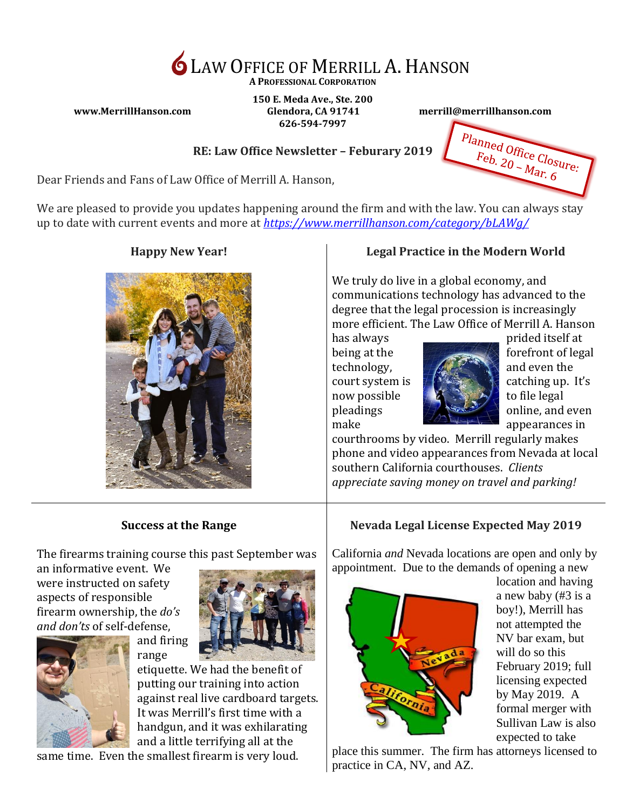

**A PROFESSIONAL CORPORATION**

**150 E. Meda Ave., Ste. 200 www.MerrillHanson.com Glendora, CA 91741 merrill@merrillhanson.com 626-594-7997**

Planned Office Closure: Feb. 20 - Mar. 6

#### **RE: Law Office Newsletter – Feburary 2019**

Dear Friends and Fans of Law Office of Merrill A. Hanson,

We are pleased to provide you updates happening around the firm and with the law. You can always stay up to date with current events and more at *<https://www.merrillhanson.com/category/bLAWg/>*



#### **Happy New Year! Legal Practice in the Modern World**

We truly do live in a global economy, and communications technology has advanced to the degree that the legal procession is increasingly more efficient. The Law Office of Merrill A. Hanson



has always prided itself at being at the forefront of legal court system is  $\#$  <sup>3745</sup>  $\#$  catching up. It's pleadings  $\mathbb{R}$  online, and even

courthrooms by video. Merrill regularly makes phone and video appearances from Nevada at local southern California courthouses. *Clients appreciate saving money on travel and parking!*

### **Success at the Range**

The firearms training course this past September was

an informative event. We were instructed on safety aspects of responsible firearm ownership, the *do's and don'ts* of self-defense,



etiquette. We had the benefit of putting our training into action against real live cardboard targets. It was Merrill's first time with a handgun, and it was exhilarating and a little terrifying all at the

same time. Even the smallest firearm is very loud.

and firing range

# **Nevada Legal License Expected May 2019**

California *and* Nevada locations are open and only by appointment. Due to the demands of opening a new



location and having a new baby (#3 is a boy!), Merrill has not attempted the NV bar exam, but will do so this February 2019; full licensing expected by May 2019. A formal merger with Sullivan Law is also expected to take

place this summer. The firm has attorneys licensed to practice in CA, NV, and AZ.